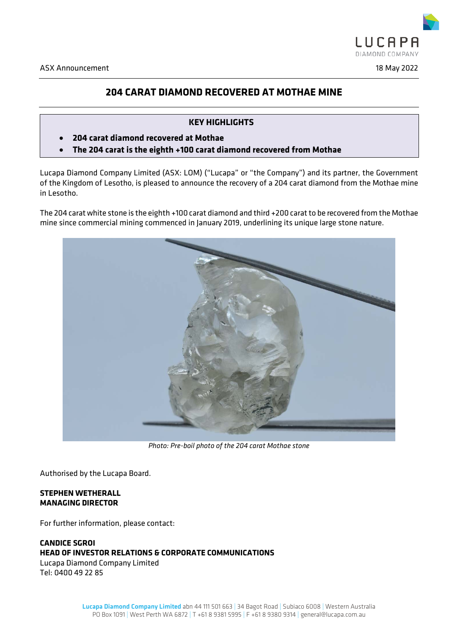

# **204 CARAT DIAMOND RECOVERED AT MOTHAE MINE**

# **KEY HIGHLIGHTS**

- **204 carat diamond recovered at Mothae**
- **The 204 carat is the eighth +100 carat diamond recovered from Mothae**

Lucapa Diamond Company Limited (ASX: LOM) ("Lucapa" or "the Company") and its partner, the Government of the Kingdom of Lesotho, is pleased to announce the recovery of a 204 carat diamond from the Mothae mine in Lesotho.

The 204 carat white stone is the eighth +100 carat diamond and third +200 carat to be recovered from the Mothae mine since commercial mining commenced in January 2019, underlining its unique large stone nature.



*Photo: Pre-boil photo of the 204 carat Mothae stone*

Authorised by the Lucapa Board.

## **STEPHEN WETHERALL MANAGING DIRECTOR**

For further information, please contact:

# **CANDICE SGROI HEAD OF INVESTOR RELATIONS & CORPORATE COMMUNICATIONS** Lucapa Diamond Company Limited

Tel: 0400 49 22 85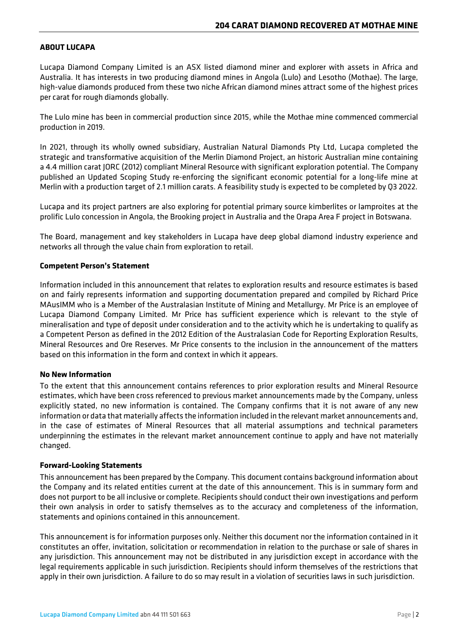# **ABOUT LUCAPA**

Lucapa Diamond Company Limited is an ASX listed diamond miner and explorer with assets in Africa and Australia. It has interests in two producing diamond mines in Angola (Lulo) and Lesotho (Mothae). The large, high-value diamonds produced from these two niche African diamond mines attract some of the highest prices per carat for rough diamonds globally.

The Lulo mine has been in commercial production since 2015, while the Mothae mine commenced commercial production in 2019.

In 2021, through its wholly owned subsidiary, Australian Natural Diamonds Pty Ltd, Lucapa completed the strategic and transformative acquisition of the Merlin Diamond Project, an historic Australian mine containing a 4.4 million carat JORC (2012) compliant Mineral Resource with significant exploration potential. The Company published an Updated Scoping Study re-enforcing the significant economic potential for a long-life mine at Merlin with a production target of 2.1 million carats. A feasibility study is expected to be completed by Q3 2022.

Lucapa and its project partners are also exploring for potential primary source kimberlites or lamproites at the prolific Lulo concession in Angola, the Brooking project in Australia and the Orapa Area F project in Botswana.

The Board, management and key stakeholders in Lucapa have deep global diamond industry experience and networks all through the value chain from exploration to retail.

## **Competent Person's Statement**

Information included in this announcement that relates to exploration results and resource estimates is based on and fairly represents information and supporting documentation prepared and compiled by Richard Price MAusIMM who is a Member of the Australasian Institute of Mining and Metallurgy. Mr Price is an employee of Lucapa Diamond Company Limited. Mr Price has sufficient experience which is relevant to the style of mineralisation and type of deposit under consideration and to the activity which he is undertaking to qualify as a Competent Person as defined in the 2012 Edition of the Australasian Code for Reporting Exploration Results, Mineral Resources and Ore Reserves. Mr Price consents to the inclusion in the announcement of the matters based on this information in the form and context in which it appears.

## **No New Information**

To the extent that this announcement contains references to prior exploration results and Mineral Resource estimates, which have been cross referenced to previous market announcements made by the Company, unless explicitly stated, no new information is contained. The Company confirms that it is not aware of any new information or data that materially affects the information included in the relevant market announcements and, in the case of estimates of Mineral Resources that all material assumptions and technical parameters underpinning the estimates in the relevant market announcement continue to apply and have not materially changed.

## **Forward-Looking Statements**

This announcement has been prepared by the Company. This document contains background information about the Company and its related entities current at the date of this announcement. This is in summary form and does not purport to be all inclusive or complete. Recipients should conduct their own investigations and perform their own analysis in order to satisfy themselves as to the accuracy and completeness of the information, statements and opinions contained in this announcement.

This announcement is for information purposes only. Neither this document nor the information contained in it constitutes an offer, invitation, solicitation or recommendation in relation to the purchase or sale of shares in any jurisdiction. This announcement may not be distributed in any jurisdiction except in accordance with the legal requirements applicable in such jurisdiction. Recipients should inform themselves of the restrictions that apply in their own jurisdiction. A failure to do so may result in a violation of securities laws in such jurisdiction.